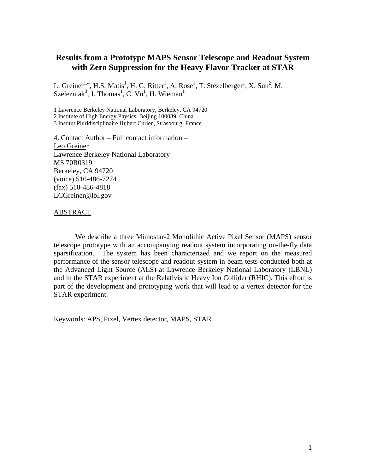# **Results from a Prototype MAPS Sensor Telescope and Readout System with Zero Suppression for the Heavy Flavor Tracker at STAR**

L. Greiner<sup>1,4</sup>, H.S. Matis<sup>1</sup>, H. G. Ritter<sup>1</sup>, A. Rose<sup>1</sup>, T. Stezelberger<sup>1</sup>, X. Sun<sup>2</sup>, M. Szelezniak<sup>3</sup>, J. Thomas<sup>1</sup>, C. Vu<sup>1</sup>, H. Wieman<sup>1</sup>

1 Lawrence Berkeley National Laboratory, Berkeley, CA 94720 2 Institute of High Energy Physics, Beijing 100039, China 3 Institut Pluridisciplinaire Hubert Curien, Strasbourg, France

4. Contact Author – Full contact information – Leo Greiner Lawrence Berkeley National Laboratory MS 70R0319 Berkeley, CA 94720 (voice) 510-486-7274 (fax) 510-486-4818 LCGreiner@lbl.gov

# ABSTRACT

We describe a three Mimostar-2 Monolithic Active Pixel Sensor (MAPS) sensor telescope prototype with an accompanying readout system incorporating on-the-fly data sparsification. The system has been characterized and we report on the measured performance of the sensor telescope and readout system in beam tests conducted both at the Advanced Light Source (ALS) at Lawrence Berkeley National Laboratory (LBNL) and in the STAR experiment at the Relativistic Heavy Ion Collider (RHIC). This effort is part of the development and prototyping work that will lead to a vertex detector for the STAR experiment.

Keywords: APS, Pixel, Vertex detector, MAPS, STAR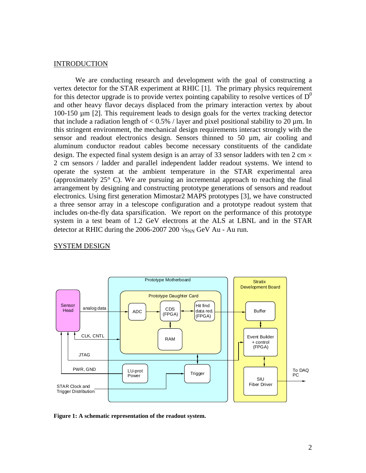# INTRODUCTION

We are conducting research and development with the goal of constructing a vertex detector for the STAR experiment at RHIC [1]. The primary physics requirement for this detector upgrade is to provide vertex pointing capability to resolve vertices of  $D^0$ and other heavy flavor decays displaced from the primary interaction vertex by about 100-150 µm [2]. This requirement leads to design goals for the vertex tracking detector that include a radiation length of  $< 0.5\%$  / layer and pixel positional stability to 20  $\mu$ m. In this stringent environment, the mechanical design requirements interact strongly with the sensor and readout electronics design. Sensors thinned to 50 µm, air cooling and aluminum conductor readout cables become necessary constituents of the candidate design. The expected final system design is an array of 33 sensor ladders with ten  $2 \text{ cm} \times$ 2 cm sensors / ladder and parallel independent ladder readout systems. We intend to operate the system at the ambient temperature in the STAR experimental area (approximately 25° C). We are pursuing an incremental approach to reaching the final arrangement by designing and constructing prototype generations of sensors and readout electronics. Using first generation Mimostar2 MAPS prototypes [3], we have constructed a three sensor array in a telescope configuration and a prototype readout system that includes on-the-fly data sparsification. We report on the performance of this prototype system in a test beam of 1.2 GeV electrons at the ALS at LBNL and in the STAR detector at RHIC during the 2006-2007 200  $\sqrt{s_{NN}}$  GeV Au - Au run.

## SYSTEM DESIGN



**Figure 1: A schematic representation of the readout system.**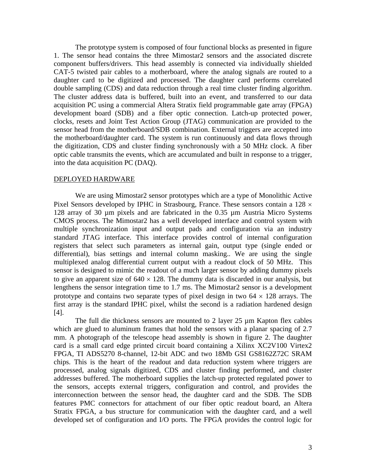The prototype system is composed of four functional blocks as presented in figure 1. The sensor head contains the three Mimostar2 sensors and the associated discrete component buffers/drivers. This head assembly is connected via individually shielded CAT-5 twisted pair cables to a motherboard, where the analog signals are routed to a daughter card to be digitized and processed. The daughter card performs correlated double sampling (CDS) and data reduction through a real time cluster finding algorithm. The cluster address data is buffered, built into an event, and transferred to our data acquisition PC using a commercial Altera Stratix field programmable gate array (FPGA) development board (SDB) and a fiber optic connection. Latch-up protected power, clocks, resets and Joint Test Action Group (JTAG) communication are provided to the sensor head from the motherboard/SDB combination. External triggers are accepted into the motherboard/daughter card. The system is run continuously and data flows through the digitization, CDS and cluster finding synchronously with a 50 MHz clock. A fiber optic cable transmits the events, which are accumulated and built in response to a trigger, into the data acquisition PC (DAQ).

#### DEPLOYED HARDWARE

We are using Mimostar2 sensor prototypes which are a type of Monolithic Active Pixel Sensors developed by IPHC in Strasbourg, France. These sensors contain a  $128 \times$ 128 array of 30 µm pixels and are fabricated in the 0.35 µm Austria Micro Systems CMOS process. The Mimostar2 has a well developed interface and control system with multiple synchronization input and output pads and configuration via an industry standard JTAG interface. This interface provides control of internal configuration registers that select such parameters as internal gain, output type (single ended or differential), bias settings and internal column masking.. We are using the single multiplexed analog differential current output with a readout clock of 50 MHz. This sensor is designed to mimic the readout of a much larger sensor by adding dummy pixels to give an apparent size of  $640 \times 128$ . The dummy data is discarded in our analysis, but lengthens the sensor integration time to 1.7 ms. The Mimostar2 sensor is a development prototype and contains two separate types of pixel design in two  $64 \times 128$  arrays. The first array is the standard IPHC pixel, whilst the second is a radiation hardened design [4].

The full die thickness sensors are mounted to 2 layer 25 µm Kapton flex cables which are glued to aluminum frames that hold the sensors with a planar spacing of 2.7 mm. A photograph of the telescope head assembly is shown in figure 2. The daughter card is a small card edge printed circuit board containing a Xilinx XC2V100 Virtex2 FPGA, TI ADS5270 8-channel, 12-bit ADC and two 18Mb GSI GS8162Z72C SRAM chips. This is the heart of the readout and data reduction system where triggers are processed, analog signals digitized, CDS and cluster finding performed, and cluster addresses buffered. The motherboard supplies the latch-up protected regulated power to the sensors, accepts external triggers, configuration and control, and provides the interconnection between the sensor head, the daughter card and the SDB. The SDB features PMC connectors for attachment of our fiber optic readout board, an Altera Stratix FPGA, a bus structure for communication with the daughter card, and a well developed set of configuration and I/O ports. The FPGA provides the control logic for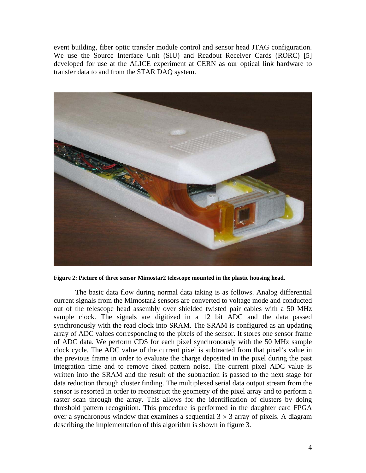event building, fiber optic transfer module control and sensor head JTAG configuration. We use the Source Interface Unit (SIU) and Readout Receiver Cards (RORC) [5] developed for use at the ALICE experiment at CERN as our optical link hardware to transfer data to and from the STAR DAQ system.



**Figure 2: Picture of three sensor Mimostar2 telescope mounted in the plastic housing head.** 

The basic data flow during normal data taking is as follows. Analog differential current signals from the Mimostar2 sensors are converted to voltage mode and conducted out of the telescope head assembly over shielded twisted pair cables with a 50 MHz sample clock. The signals are digitized in a 12 bit ADC and the data passed synchronously with the read clock into SRAM. The SRAM is configured as an updating array of ADC values corresponding to the pixels of the sensor. It stores one sensor frame of ADC data. We perform CDS for each pixel synchronously with the 50 MHz sample clock cycle. The ADC value of the current pixel is subtracted from that pixel's value in the previous frame in order to evaluate the charge deposited in the pixel during the past integration time and to remove fixed pattern noise. The current pixel ADC value is written into the SRAM and the result of the subtraction is passed to the next stage for data reduction through cluster finding. The multiplexed serial data output stream from the sensor is resorted in order to reconstruct the geometry of the pixel array and to perform a raster scan through the array. This allows for the identification of clusters by doing threshold pattern recognition. This procedure is performed in the daughter card FPGA over a synchronous window that examines a sequential  $3 \times 3$  array of pixels. A diagram describing the implementation of this algorithm is shown in figure 3.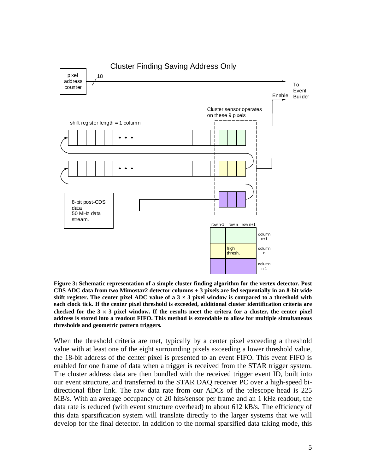![](_page_4_Figure_0.jpeg)

**Figure 3: Schematic representation of a simple cluster finding algorithm for the vertex detector. Post CDS ADC data from two Mimostar2 detector columns + 3 pixels are fed sequentially in an 8-bit wide**  shift register. The center pixel ADC value of a  $3 \times 3$  pixel window is compared to a threshold with **each clock tick. If the center pixel threshold is exceeded, additional cluster identification criteria are**  checked for the  $3 \times 3$  pixel window. If the results meet the critera for a cluster, the center pixel **address is stored into a readout FIFO. This method is extendable to allow for multiple simultaneous thresholds and geometric pattern triggers.** 

When the threshold criteria are met, typically by a center pixel exceeding a threshold value with at least one of the eight surrounding pixels exceeding a lower threshold value, the 18-bit address of the center pixel is presented to an event FIFO. This event FIFO is enabled for one frame of data when a trigger is received from the STAR trigger system. The cluster address data are then bundled with the received trigger event ID, built into our event structure, and transferred to the STAR DAQ receiver PC over a high-speed bidirectional fiber link. The raw data rate from our ADCs of the telescope head is 225 MB/s. With an average occupancy of 20 hits/sensor per frame and an 1 kHz readout, the data rate is reduced (with event structure overhead) to about 612 kB/s. The efficiency of this data sparsification system will translate directly to the larger systems that we will develop for the final detector. In addition to the normal sparsified data taking mode, this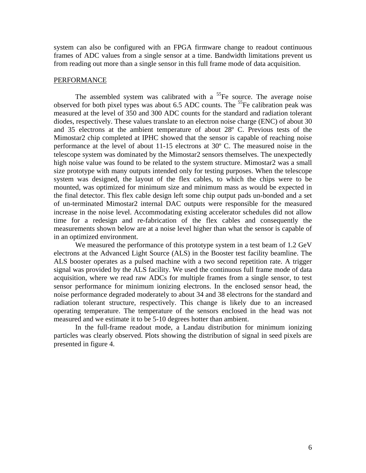system can also be configured with an FPGA firmware change to readout continuous frames of ADC values from a single sensor at a time. Bandwidth limitations prevent us from reading out more than a single sensor in this full frame mode of data acquisition.

#### PERFORMANCE

The assembled system was calibrated with a  $55$ Fe source. The average noise observed for both pixel types was about  $6.5$  ADC counts. The <sup>55</sup>Fe calibration peak was measured at the level of 350 and 300 ADC counts for the standard and radiation tolerant diodes, respectively. These values translate to an electron noise charge (ENC) of about 30 and 35 electrons at the ambient temperature of about 28º C. Previous tests of the Mimostar2 chip completed at IPHC showed that the sensor is capable of reaching noise performance at the level of about 11-15 electrons at 30º C. The measured noise in the telescope system was dominated by the Mimostar2 sensors themselves. The unexpectedly high noise value was found to be related to the system structure. Mimostar2 was a small size prototype with many outputs intended only for testing purposes. When the telescope system was designed, the layout of the flex cables, to which the chips were to be mounted, was optimized for minimum size and minimum mass as would be expected in the final detector. This flex cable design left some chip output pads un-bonded and a set of un-terminated Mimostar2 internal DAC outputs were responsible for the measured increase in the noise level. Accommodating existing accelerator schedules did not allow time for a redesign and re-fabrication of the flex cables and consequently the measurements shown below are at a noise level higher than what the sensor is capable of in an optimized environment.

We measured the performance of this prototype system in a test beam of 1.2 GeV electrons at the Advanced Light Source (ALS) in the Booster test facility beamline. The ALS booster operates as a pulsed machine with a two second repetition rate. A trigger signal was provided by the ALS facility. We used the continuous full frame mode of data acquisition, where we read raw ADCs for multiple frames from a single sensor, to test sensor performance for minimum ionizing electrons. In the enclosed sensor head, the noise performance degraded moderately to about 34 and 38 electrons for the standard and radiation tolerant structure, respectively. This change is likely due to an increased operating temperature. The temperature of the sensors enclosed in the head was not measured and we estimate it to be 5-10 degrees hotter than ambient.

In the full-frame readout mode, a Landau distribution for minimum ionizing particles was clearly observed. Plots showing the distribution of signal in seed pixels are presented in figure 4.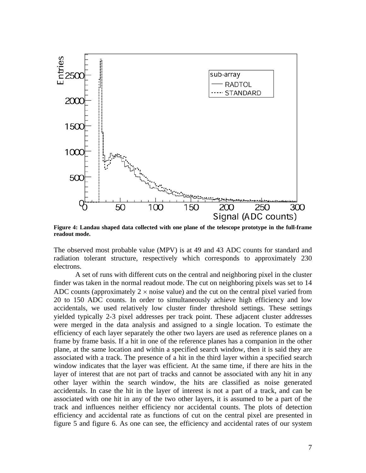![](_page_6_Figure_0.jpeg)

**Figure 4: Landau shaped data collected with one plane of the telescope prototype in the full-frame readout mode.** 

The observed most probable value (MPV) is at 49 and 43 ADC counts for standard and radiation tolerant structure, respectively which corresponds to approximately 230 electrons.

 A set of runs with different cuts on the central and neighboring pixel in the cluster finder was taken in the normal readout mode. The cut on neighboring pixels was set to 14 ADC counts (approximately  $2 \times$  noise value) and the cut on the central pixel varied from 20 to 150 ADC counts. In order to simultaneously achieve high efficiency and low accidentals, we used relatively low cluster finder threshold settings. These settings yielded typically 2-3 pixel addresses per track point. These adjacent cluster addresses were merged in the data analysis and assigned to a single location. To estimate the efficiency of each layer separately the other two layers are used as reference planes on a frame by frame basis. If a hit in one of the reference planes has a companion in the other plane, at the same location and within a specified search window, then it is said they are associated with a track. The presence of a hit in the third layer within a specified search window indicates that the layer was efficient. At the same time, if there are hits in the layer of interest that are not part of tracks and cannot be associated with any hit in any other layer within the search window, the hits are classified as noise generated accidentals. In case the hit in the layer of interest is not a part of a track, and can be associated with one hit in any of the two other layers, it is assumed to be a part of the track and influences neither efficiency nor accidental counts. The plots of detection efficiency and accidental rate as functions of cut on the central pixel are presented in figure 5 and figure 6. As one can see, the efficiency and accidental rates of our system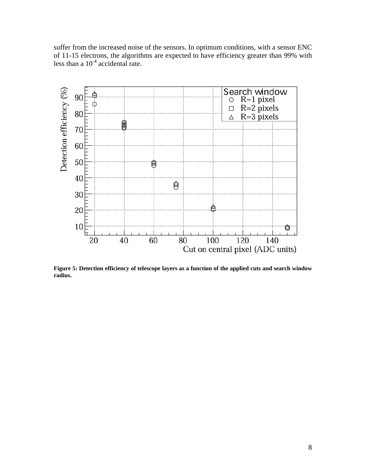suffer from the increased noise of the sensors. In optimum conditions, with a sensor ENC of 11-15 electrons, the algorithms are expected to have efficiency greater than 99% with less than a  $10^{-4}$  accidental rate.

![](_page_7_Figure_1.jpeg)

**Figure 5: Detection efficiency of telescope layers as a function of the applied cuts and search window radius.**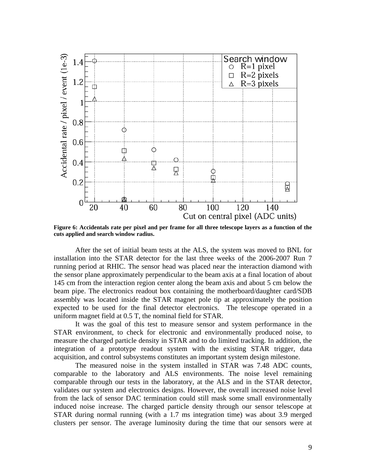![](_page_8_Figure_0.jpeg)

**Figure 6: Accidentals rate per pixel and per frame for all three telescope layers as a function of the cuts applied and search window radius.** 

After the set of initial beam tests at the ALS, the system was moved to BNL for installation into the STAR detector for the last three weeks of the 2006-2007 Run 7 running period at RHIC. The sensor head was placed near the interaction diamond with the sensor plane approximately perpendicular to the beam axis at a final location of about 145 cm from the interaction region center along the beam axis and about 5 cm below the beam pipe. The electronics readout box containing the motherboard/daughter card/SDB assembly was located inside the STAR magnet pole tip at approximately the position expected to be used for the final detector electronics. The telescope operated in a uniform magnet field at 0.5 T, the nominal field for STAR.

It was the goal of this test to measure sensor and system performance in the STAR environment, to check for electronic and environmentally produced noise, to measure the charged particle density in STAR and to do limited tracking. In addition, the integration of a prototype readout system with the existing STAR trigger, data acquisition, and control subsystems constitutes an important system design milestone.

The measured noise in the system installed in STAR was 7.48 ADC counts, comparable to the laboratory and ALS environments. The noise level remaining comparable through our tests in the laboratory, at the ALS and in the STAR detector, validates our system and electronics designs. However, the overall increased noise level from the lack of sensor DAC termination could still mask some small environmentally induced noise increase. The charged particle density through our sensor telescope at STAR during normal running (with a 1.7 ms integration time) was about 3.9 merged clusters per sensor. The average luminosity during the time that our sensors were at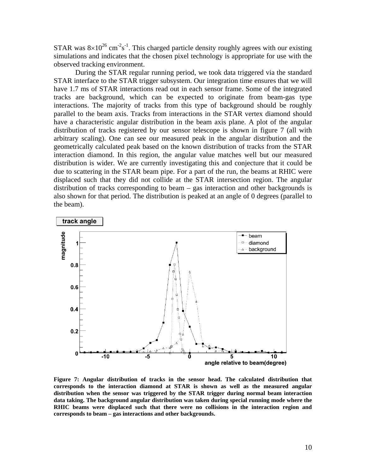STAR was  $8\times10^{26}$  cm<sup>-2</sup>s<sup>-1</sup>. This charged particle density roughly agrees with our existing simulations and indicates that the chosen pixel technology is appropriate for use with the observed tracking environment.

During the STAR regular running period, we took data triggered via the standard STAR interface to the STAR trigger subsystem. Our integration time ensures that we will have 1.7 ms of STAR interactions read out in each sensor frame. Some of the integrated tracks are background, which can be expected to originate from beam-gas type interactions. The majority of tracks from this type of background should be roughly parallel to the beam axis. Tracks from interactions in the STAR vertex diamond should have a characteristic angular distribution in the beam axis plane. A plot of the angular distribution of tracks registered by our sensor telescope is shown in figure 7 (all with arbitrary scaling). One can see our measured peak in the angular distribution and the geometrically calculated peak based on the known distribution of tracks from the STAR interaction diamond. In this region, the angular value matches well but our measured distribution is wider. We are currently investigating this and conjecture that it could be due to scattering in the STAR beam pipe. For a part of the run, the beams at RHIC were displaced such that they did not collide at the STAR intersection region. The angular distribution of tracks corresponding to beam – gas interaction and other backgrounds is also shown for that period. The distribution is peaked at an angle of 0 degrees (parallel to the beam).

![](_page_9_Figure_2.jpeg)

**Figure 7: Angular distribution of tracks in the sensor head. The calculated distribution that corresponds to the interaction diamond at STAR is shown as well as the measured angular distribution when the sensor was triggered by the STAR trigger during normal beam interaction data taking. The background angular distribution was taken during special running mode where the RHIC beams were displaced such that there were no collisions in the interaction region and corresponds to beam – gas interactions and other backgrounds.**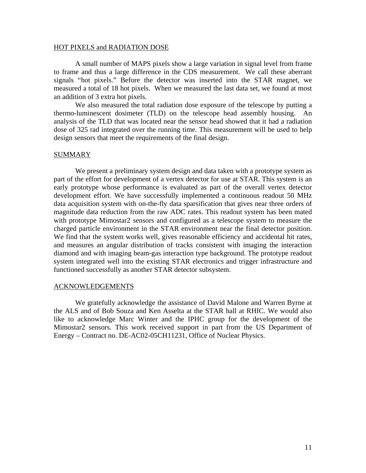#### HOT PIXELS and RADIATION DOSE

A small number of MAPS pixels show a large variation in signal level from frame to frame and thus a large difference in the CDS measurement. We call these aberrant signals "hot pixels." Before the detector was inserted into the STAR magnet, we measured a total of 18 hot pixels. When we measured the last data set, we found at most an addition of 3 extra hot pixels.

We also measured the total radiation dose exposure of the telescope by putting a thermo-luminescent dosimeter (TLD) on the telescope head assembly housing. An analysis of the TLD that was located near the sensor head showed that it had a radiation dose of 325 rad integrated over the running time. This measurement will be used to help design sensors that meet the requirements of the final design.

# SUMMARY

We present a preliminary system design and data taken with a prototype system as part of the effort for development of a vertex detector for use at STAR. This system is an early prototype whose performance is evaluated as part of the overall vertex detector development effort. We have successfully implemented a continuous readout 50 MHz data acquisition system with on-the-fly data sparsification that gives near three orders of magnitude data reduction from the raw ADC rates. This readout system has been mated with prototype Mimostar2 sensors and configured as a telescope system to measure the charged particle environment in the STAR environment near the final detector position. We find that the system works well, gives reasonable efficiency and accidental hit rates, and measures an angular distribution of tracks consistent with imaging the interaction diamond and with imaging beam-gas interaction type background. The prototype readout system integrated well into the existing STAR electronics and trigger infrastructure and functioned successfully as another STAR detector subsystem.

# ACKNOWLEDGEMENTS

We gratefully acknowledge the assistance of David Malone and Warren Byrne at the ALS and of Bob Souza and Ken Asselta at the STAR hall at RHIC. We would also like to acknowledge Marc Winter and the IPHC group for the development of the Mimostar2 sensors. This work received support in part from the US Department of Energy – Contract no. DE-AC02-05CH11231, Office of Nuclear Physics.